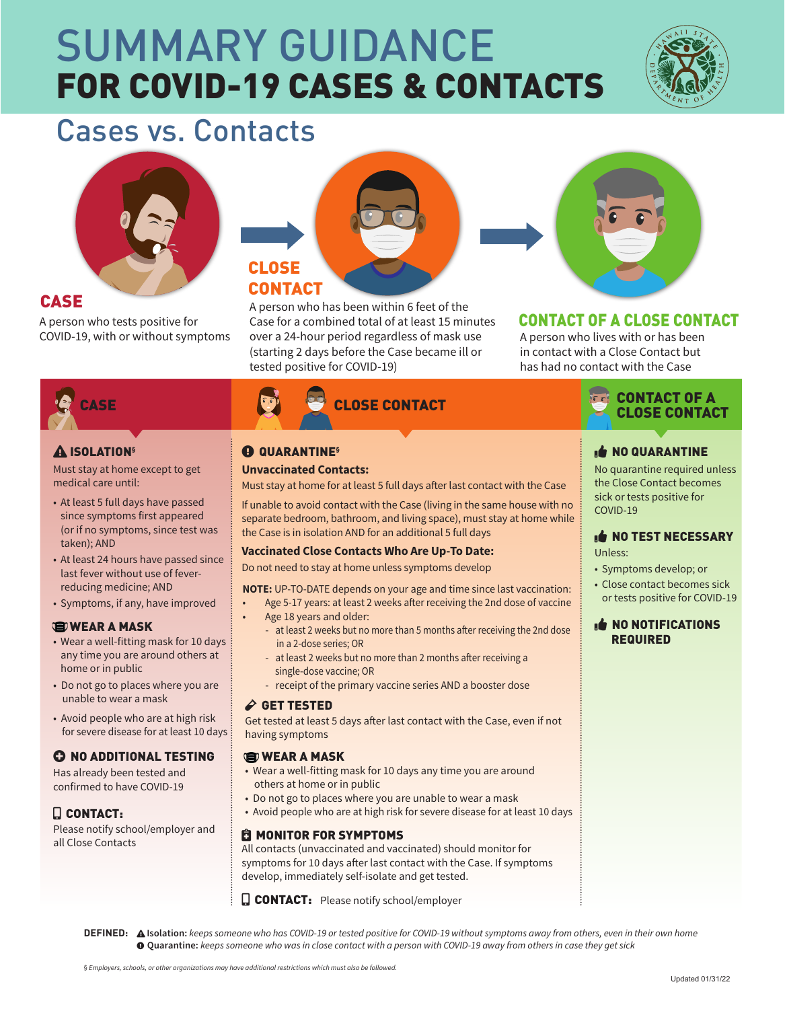# FOR COVID-19 CASES & CONTACTS SUMMARY GUIDANCE



## Cases vs. Contacts



#### CASE

A person who tests positive for COVID-19, with or without symptoms



A person who has been within 6 feet of the Case for a combined total of at least 15 minutes over a 24-hour period regardless of mask use (starting 2 days before the Case became ill or tested positive for COVID-19)



#### CONTACT OF A CLOSE CONTACT

A person who lives with or has been in contact with a Close Contact but has had no contact with the Case



#### ISOLATION**§**

Must stay at home except to get medical care until:

- At least 5 full days have passed since symptoms first appeared (or if no symptoms, since test was taken); AND
- At least 24 hours have passed since last fever without use of feverreducing medicine; AND
- Symptoms, if any, have improved

#### **WEAR A MASK**

- Wear a well-fitting mask for 10 days any time you are around others at home or in public
- Do not go to places where you are unable to wear a mask
- Avoid people who are at high risk for severe disease for at least 10 days

#### **C NO ADDITIONAL TESTING**

Has already been tested and confirmed to have COVID-19

#### **Q** CONTACT:

Please notify school/employer and all Close Contacts

### QUARANTINE**§**

#### **Unvaccinated Contacts:**

Must stay at home for at least 5 full days after last contact with the Case

If unable to avoid contact with the Case (living in the same house with no separate bedroom, bathroom, and living space), must stay at home while the Case is in isolation AND for an additional 5 full days

#### **Vaccinated Close Contacts Who Are Up-To Date:**

Do not need to stay at home unless symptoms develop

**NOTE:** UP-TO-DATE depends on your age and time since last vaccination: • Age 5-17 years: at least 2 weeks after receiving the 2nd dose of vaccine

- Age 18 years and older:
- at least 2 weeks but no more than 5 months after receiving the 2nd dose in a 2-dose series; OR
- at least 2 weeks but no more than 2 months after receiving a single-dose vaccine; OR
- receipt of the primary vaccine series AND a booster dose

#### **GET TESTED**

Get tested at least 5 days after last contact with the Case, even if not having symptoms

#### **WEAR A MASK**

- Wear a well-fitting mask for 10 days any time you are around others at home or in public
- Do not go to places where you are unable to wear a mask
- Avoid people who are at high risk for severe disease for at least 10 days

#### **C** MONITOR FOR SYMPTOMS

All contacts (unvaccinated and vaccinated) should monitor for symptoms for 10 days after last contact with the Case. If symptoms develop, immediately self-isolate and get tested.

**CONTACT:** Please notify school/employer



#### **NO QUARANTINE**

No quarantine required unless the Close Contact becomes sick or tests positive for COVID-19

#### NO TEST NECESSARY Unless:

- Symptoms develop; or
- Close contact becomes sick or tests positive for COVID-19

#### **NO NOTIFICATIONS** REQUIRED

**DEFINED: Isolation:** *keeps someone who has COVID-19 or tested positive for COVID-19 without symptoms away from others, even in their own home* **Quarantine:** *keeps someone who was in close contact with a person with COVID-19 away from others in case they get sick*